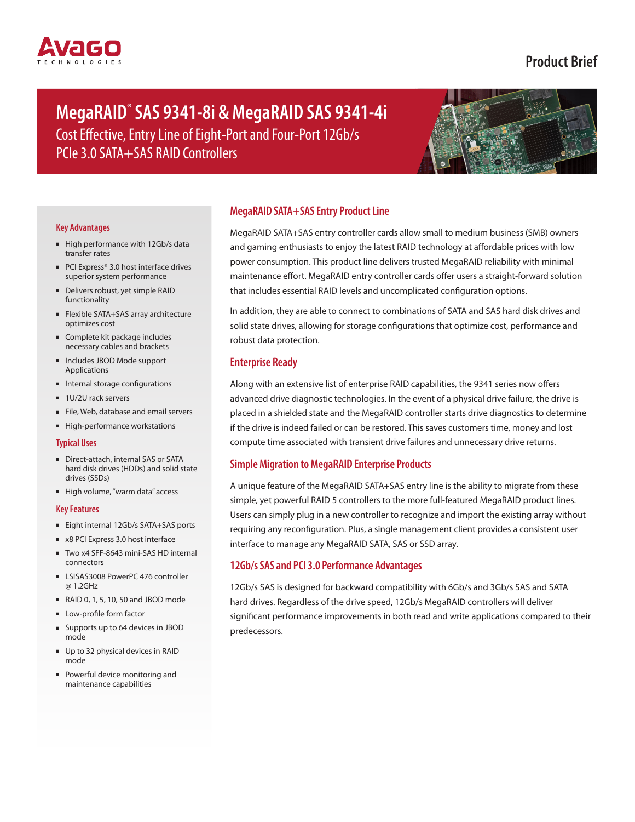

# **Product Brief**

# **MegaRAID® SAS 9341-8i & MegaRAID SAS 9341-4i** Cost Effective, Entry Line of Eight-Port and Four-Port 12Gb/s PCIe 3.0 SATA+SAS RAID Controllers



#### **Key Advantages**

- High performance with 12Gb/s data transfer rates
- PCI Express<sup>®</sup> 3.0 host interface drives superior system performance
- Delivers robust, yet simple RAID functionality
- Flexible SATA+SAS array architecture optimizes cost
- Complete kit package includes necessary cables and brackets
- Includes JBOD Mode support Applications
- Internal storage configurations
- 1U/2U rack servers
- File, Web, database and email servers
- High-performance workstations

#### **Typical Uses**

- Direct-attach, internal SAS or SATA hard disk drives (HDDs) and solid state drives (SSDs)
- High volume, "warm data" access

#### **Key Features**

- Eight internal 12Gb/s SATA+SAS ports
- x8 PCI Express 3.0 host interface
- Two x4 SFF-8643 mini-SAS HD internal connectors
- LSISAS3008 PowerPC 476 controller @ 1.2GHz
- RAID 0, 1, 5, 10, 50 and JBOD mode
- Low-profile form factor
- Supports up to 64 devices in JBOD mode
- Up to 32 physical devices in RAID mode
- Powerful device monitoring and maintenance capabilities

# **MegaRAID SATA+SAS Entry Product Line**

MegaRAID SATA+SAS entry controller cards allow small to medium business (SMB) owners and gaming enthusiasts to enjoy the latest RAID technology at affordable prices with low power consumption. This product line delivers trusted MegaRAID reliability with minimal maintenance effort. MegaRAID entry controller cards offer users a straight-forward solution that includes essential RAID levels and uncomplicated configuration options.

In addition, they are able to connect to combinations of SATA and SAS hard disk drives and solid state drives, allowing for storage configurations that optimize cost, performance and robust data protection.

# **Enterprise Ready**

Along with an extensive list of enterprise RAID capabilities, the 9341 series now offers advanced drive diagnostic technologies. In the event of a physical drive failure, the drive is placed in a shielded state and the MegaRAID controller starts drive diagnostics to determine if the drive is indeed failed or can be restored. This saves customers time, money and lost compute time associated with transient drive failures and unnecessary drive returns.

#### **Simple Migration to MegaRAID Enterprise Products**

A unique feature of the MegaRAID SATA+SAS entry line is the ability to migrate from these simple, yet powerful RAID 5 controllers to the more full-featured MegaRAID product lines. Users can simply plug in a new controller to recognize and import the existing array without requiring any reconfiguration. Plus, a single management client provides a consistent user interface to manage any MegaRAID SATA, SAS or SSD array.

## **12Gb/s SAS and PCI 3.0 Performance Advantages**

12Gb/s SAS is designed for backward compatibility with 6Gb/s and 3Gb/s SAS and SATA hard drives. Regardless of the drive speed, 12Gb/s MegaRAID controllers will deliver significant performance improvements in both read and write applications compared to their predecessors.